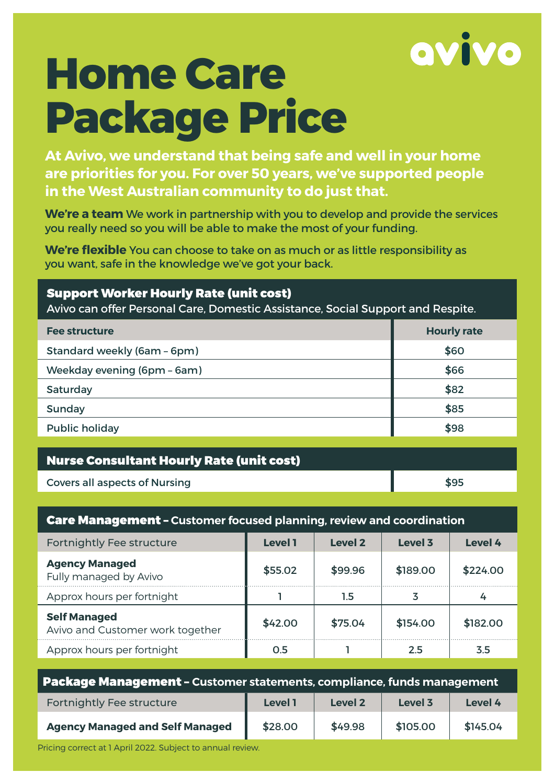

# **Home Care Package Price**

**At Avivo, we understand that being safe and well in your home are priorities for you. For over 50 years, we've supported people in the West Australian community to do just that.** 

**We're a team** We work in partnership with you to develop and provide the services you really need so you will be able to make the most of your funding.

**We're flexible** You can choose to take on as much or as little responsibility as you want, safe in the knowledge we've got your back.

#### Support Worker Hourly Rate (unit cost)

Avivo can offer Personal Care, Domestic Assistance, Social Support and Respite.

| <b>Fee structure</b>        | <b>Hourly rate</b> |
|-----------------------------|--------------------|
| Standard weekly (6am - 6pm) | \$60               |
| Weekday evening (6pm - 6am) | \$66               |
| Saturday                    | \$82               |
| Sunday                      | \$85               |
| <b>Public holiday</b>       | \$98               |

| <b>Nurse Consultant Hourly Rate (unit cost)</b> |      |  |
|-------------------------------------------------|------|--|
| <b>Covers all aspects of Nursing</b>            | \$95 |  |
|                                                 |      |  |

### Care Management – **Customer focused planning, review and coordination**

| Fortnightly Fee structure                               | <b>Level 1</b> | Level 2 | Level 3  | Level 4  |
|---------------------------------------------------------|----------------|---------|----------|----------|
| <b>Agency Managed</b><br>Fully managed by Avivo         | \$55.02        | \$99.96 | \$189.00 | \$224.00 |
| Approx hours per fortnight                              |                | 1.5     |          |          |
| <b>Self Managed</b><br>Avivo and Customer work together | \$42.00        | \$75.04 | \$154.00 | \$182.00 |
| Approx hours per fortnight                              | 0.5            |         | 2.5      | 3.5      |

| Package Management - Customer statements, compliance, funds management |                |         |          |          |
|------------------------------------------------------------------------|----------------|---------|----------|----------|
| <b>Fortnightly Fee structure</b>                                       | <b>Level 1</b> | Level 2 | Level 3  | Level 4  |
| <b>Agency Managed and Self Managed</b>                                 | \$28.00        | \$49.98 | \$105.00 | \$145.04 |

Pricing correct at 1 April 2022. Subject to annual review.